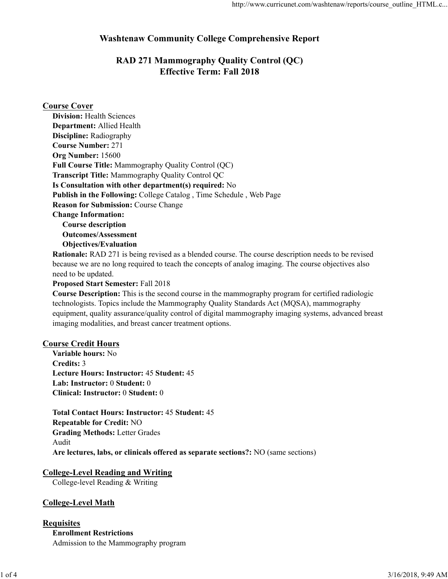# Washtenaw Community College Comprehensive Report

# RAD 271 Mammography Quality Control (QC) Effective Term: Fall 2018

### Course Cover

Objectives/Evaluation

Rationale: RAD 271 is being revised as a blended course. The course description needs to be revised because we are no long required to teach the concepts of analog imaging. The course objectives also need to be updated.

Proposed Start Semester: Fall 2018

Course Description: This is the second course in the mammography program for certified radiologic technologists. Topics include the Mammography Quality Standards Act (MQSA), mammography equipment, quality assurance/quality control of digital mammography imaging systems, advanced breast imaging modalities, and breast cancer treatment options.

#### Course Credit Hours

Variable hours: No Credits: 3 Lecture Hours: Instructor: 45 Student: 45 Lab: Instructor: 0 Student: 0 Clinical: Instructor: 0 Student: 0

Total Contact Hours: Instructor: 45 Student: 45 Repeatable for Credit: NO Grading Methods: Letter Grades Audit Are lectures, labs, or clinicals offered as separate sections?: NO (same sections) Ethical: Instructor: 0 Student: 0<br>
Clinical: Instructor: 0 Student: 45<br>
Repeatable for Credit: NO<br>
Grading Methods: Letter Grades<br>
Audit<br>
Are lectures, labs, or clinicals offered as separate sections?: NO (same sections)<br>

# College-Level Reading and Writing

College-level Reading & Writing

#### College-Level Math

## **Requisites** Enrollment Restrictions Admission to the Mammography program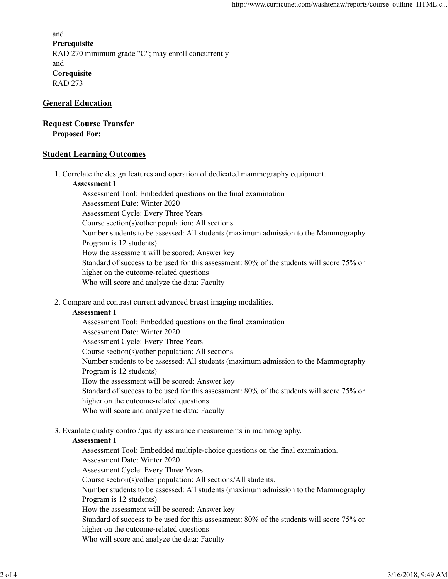and **Prerequisite** RAD 270 minimum grade "C"; may enroll concurrently and **Corequisite** RAD 273

#### General Education

#### Request Course Transfer

Proposed For:

#### Student Learning Outcomes

1. Correlate the design features and operation of dedicated mammography equipment.

#### Assessment 1

Assessment Tool: Embedded questions on the final examination Assessment Date: Winter 2020 Assessment Cycle: Every Three Years Course section(s)/other population: All sections Number students to be assessed: All students (maximum admission to the Mammography Program is 12 students) How the assessment will be scored: Answer key Standard of success to be used for this assessment: 80% of the students will score 75% or higher on the outcome-related questions Who will score and analyze the data: Faculty

2. Compare and contrast current advanced breast imaging modalities.

#### Assessment 1

Assessment Tool: Embedded questions on the final examination Assessment Date: Winter 2020 Assessment Cycle: Every Three Years Course section(s)/other population: All sections Number students to be assessed: All students (maximum admission to the Mammography Program is 12 students) How the assessment will be scored: Answer key Standard of success to be used for this assessment: 80% of the students will score 75% or higher on the outcome-related questions Who will score and analyze the data: Faculty

Evaulate quality control/quality assurance measurements in mammography. 3.

#### Assessment 1

Assessment Tool: Embedded multiple-choice questions on the final examination. Assessment Date: Winter 2020 Assessment Cycle: Every Three Years Course section(s)/other population: All sections/All students. Number students to be assessed: All students (maximum admission to the Mammography Program is 12 students) How the assessment will be scored: Answer key Standard of success to be used for this assessment: 80% of the students will score 75% or higher on the outcome-related questions Who will score and analyze the data: Faculty Standard of success to be used for this assessment: 80% of the students will score 75% or<br>higher on the outcome-related questios<br>Who will sover and analyze the data: Faculty<br>Who will sover and analyze the data: Faculty<br>3.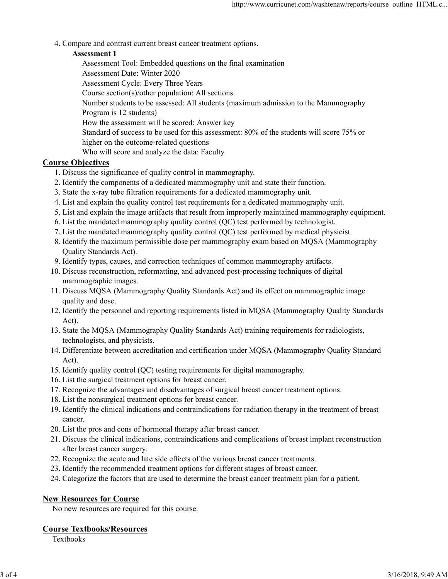Compare and contrast current breast cancer treatment options. 4.

## Assessment 1

Assessment Tool: Embedded questions on the final examination Assessment Date: Winter 2020 Assessment Cycle: Every Three Years Course section(s)/other population: All sections Number students to be assessed: All students (maximum admission to the Mammography Program is 12 students) How the assessment will be scored: Answer key Standard of success to be used for this assessment: 80% of the students will score 75% or higher on the outcome-related questions Who will score and analyze the data: Faculty

# Course Objectives

- 1. Discuss the significance of quality control in mammography.
- 2. Identify the components of a dedicated mammography unit and state their function.
- 3. State the x-ray tube filtration requirements for a dedicated mammography unit.
- 4. List and explain the quality control test requirements for a dedicated mammography unit.
- 5. List and explain the image artifacts that result from improperly maintained mammography equipment.
- 6. List the mandated mammography quality control (QC) test performed by technologist.
- 7. List the mandated mammography quality control (QC) test performed by medical physicist.
- 8. Identify the maximum permissible dose per mammography exam based on MQSA (Mammography Quality Standards Act).
- 9. Identify types, causes, and correction techniques of common mammography artifacts.
- 10. Discuss reconstruction, reformatting, and advanced post-processing techniques of digital mammographic images.
- 11. Discuss MQSA (Mammography Quality Standards Act) and its effect on mammographic image quality and dose.
- 12. Identify the personnel and reporting requirements listed in MQSA (Mammography Quality Standards Act).
- 13. State the MQSA (Mammography Quality Standards Act) training requirements for radiologists, technologists, and physicists.
- 14. Differentiate between accreditation and certification under MQSA (Mammography Quality Standard Act).
- 15. Identify quality control (QC) testing requirements for digital mammography.
- 16. List the surgical treatment options for breast cancer.
- 17. Recognize the advantages and disadvantages of surgical breast cancer treatment options.
- 18. List the nonsurgical treatment options for breast cancer.
- 19. Identify the clinical indications and contraindications for radiation therapy in the treatment of breast cancer.
- 20. List the pros and cons of hormonal therapy after breast cancer.
- Discuss the clinical indications, contraindications and complications of breast implant reconstruction 21. after breast cancer surgery. 17. Recognize the advantages and disadvantages of surgical breast cancer treatment options.<br>
18 .List the nonsurgical treatment options for breast cancer.<br>
19. Identify the clinical indications and contraindications for r
	- 22. Recognize the acute and late side effects of the various breast cancer treatments.
	- 23. Identify the recommended treatment options for different stages of breast cancer.
	- 24. Categorize the factors that are used to determine the breast cancer treatment plan for a patient.

## New Resources for Course

No new resources are required for this course.

## Course Textbooks/Resources

**Textbooks**